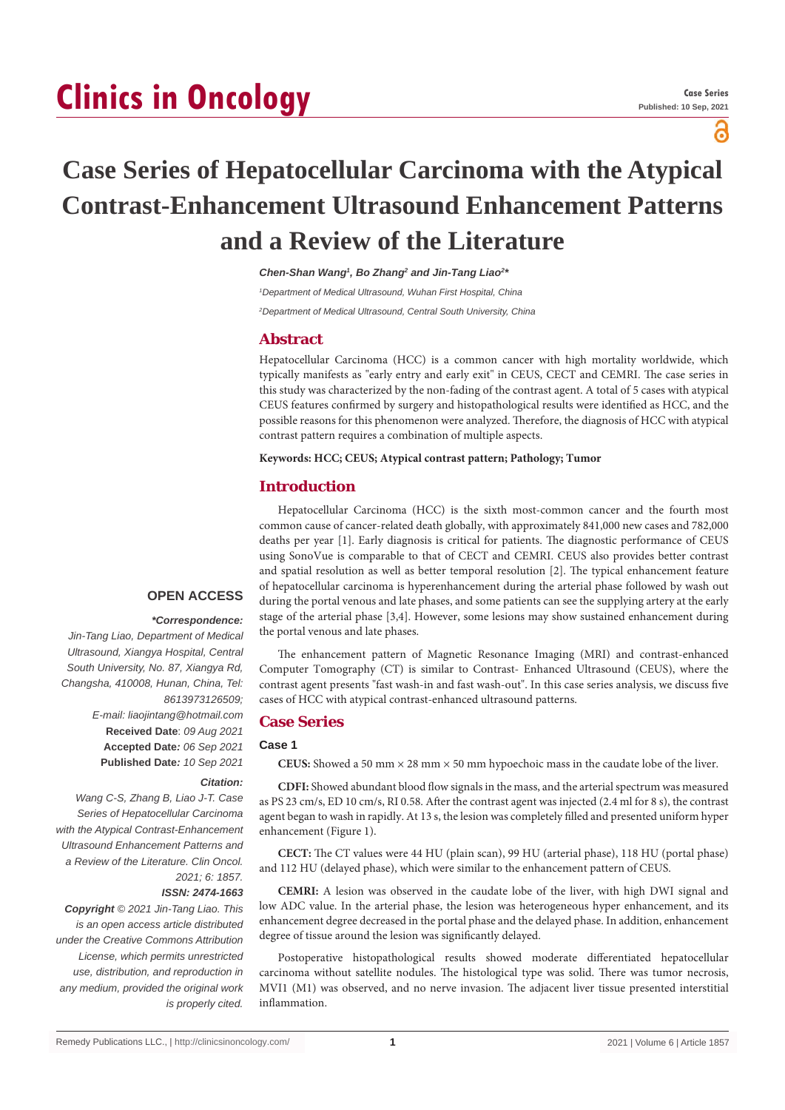# **Clinics in Oncology**

പ്പ

## **Case Series of Hepatocellular Carcinoma with the Atypical Contrast-Enhancement Ultrasound Enhancement Patterns and a Review of the Literature**

*Chen-Shan Wang1 , Bo Zhang2 and Jin-Tang Liao2 \**

*1 Department of Medical Ultrasound, Wuhan First Hospital, China*

*2 Department of Medical Ultrasound, Central South University, China*

## **Abstract**

Hepatocellular Carcinoma (HCC) is a common cancer with high mortality worldwide, which typically manifests as "early entry and early exit" in CEUS, CECT and CEMRI. The case series in this study was characterized by the non-fading of the contrast agent. A total of 5 cases with atypical CEUS features confirmed by surgery and histopathological results were identified as HCC, and the possible reasons for this phenomenon were analyzed. Therefore, the diagnosis of HCC with atypical contrast pattern requires a combination of multiple aspects.

**Keywords: HCC; CEUS; Atypical contrast pattern; Pathology; Tumor**

## **Introduction**

Hepatocellular Carcinoma (HCC) is the sixth most-common cancer and the fourth most common cause of cancer-related death globally, with approximately 841,000 new cases and 782,000 deaths per year [1]. Early diagnosis is critical for patients. The diagnostic performance of CEUS using SonoVue is comparable to that of CECT and CEMRI. CEUS also provides better contrast and spatial resolution as well as better temporal resolution [2]. The typical enhancement feature of hepatocellular carcinoma is hyperenhancement during the arterial phase followed by wash out during the portal venous and late phases, and some patients can see the supplying artery at the early stage of the arterial phase [3,4]. However, some lesions may show sustained enhancement during the portal venous and late phases.

The enhancement pattern of Magnetic Resonance Imaging (MRI) and contrast-enhanced Computer Tomography (CT) is similar to Contrast- Enhanced Ultrasound (CEUS), where the contrast agent presents "fast wash-in and fast wash-out". In this case series analysis, we discuss five cases of HCC with atypical contrast-enhanced ultrasound patterns.

## **Case Series**

#### **Case 1**

**CEUS:** Showed a 50 mm  $\times$  28 mm  $\times$  50 mm hypoechoic mass in the caudate lobe of the liver.

**CDFI:** Showed abundant blood flow signals in the mass, and the arterial spectrum was measured as PS 23 cm/s, ED 10 cm/s, RI 0.58. After the contrast agent was injected (2.4 ml for 8 s), the contrast agent began to wash in rapidly. At 13 s, the lesion was completely filled and presented uniform hyper enhancement (Figure 1).

**CECT:** The CT values were 44 HU (plain scan), 99 HU (arterial phase), 118 HU (portal phase) and 112 HU (delayed phase), which were similar to the enhancement pattern of CEUS.

**CEMRI:** A lesion was observed in the caudate lobe of the liver, with high DWI signal and low ADC value. In the arterial phase, the lesion was heterogeneous hyper enhancement, and its enhancement degree decreased in the portal phase and the delayed phase. In addition, enhancement degree of tissue around the lesion was significantly delayed.

Postoperative histopathological results showed moderate differentiated hepatocellular carcinoma without satellite nodules. The histological type was solid. There was tumor necrosis, MVI1 (M1) was observed, and no nerve invasion. The adjacent liver tissue presented interstitial inflammation.

## **OPEN ACCESS**

#### *\*Correspondence:*

*Jin-Tang Liao, Department of Medical Ultrasound, Xiangya Hospital, Central South University, No. 87, Xiangya Rd, Changsha, 410008, Hunan, China, Tel: 8613973126509; E-mail: liaojintang@hotmail.com* **Received Date**: *09 Aug 2021* **Accepted Date***: 06 Sep 2021* **Published Date***: 10 Sep 2021*

## *Citation:*

*Wang C-S, Zhang B, Liao J-T. Case Series of Hepatocellular Carcinoma with the Atypical Contrast-Enhancement Ultrasound Enhancement Patterns and a Review of the Literature. Clin Oncol. 2021; 6: 1857.*

#### *ISSN: 2474-1663*

*Copyright © 2021 Jin-Tang Liao. This is an open access article distributed under the Creative Commons Attribution License, which permits unrestricted use, distribution, and reproduction in any medium, provided the original work is properly cited.*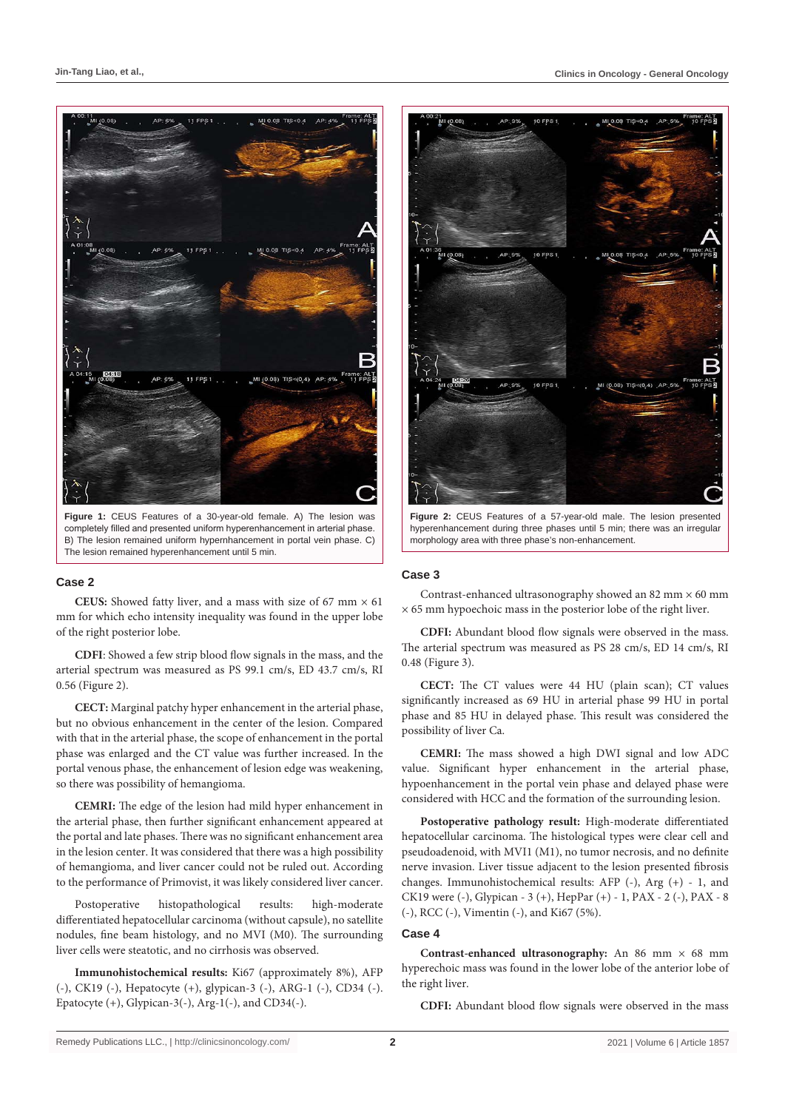

**Figure 1:** CEUS Features of a 30-year-old female. A) The lesion was completely filled and presented uniform hyperenhancement in arterial phase. B) The lesion remained uniform hypernhancement in portal vein phase. C) The lesion remained hyperenhancement until 5 min.

#### **Case 2**

**CEUS:** Showed fatty liver, and a mass with size of 67 mm  $\times$  61 mm for which echo intensity inequality was found in the upper lobe of the right posterior lobe.

**CDFI**: Showed a few strip blood flow signals in the mass, and the arterial spectrum was measured as PS 99.1 cm/s, ED 43.7 cm/s, RI 0.56 (Figure 2).

**CECT:** Marginal patchy hyper enhancement in the arterial phase, but no obvious enhancement in the center of the lesion. Compared with that in the arterial phase, the scope of enhancement in the portal phase was enlarged and the CT value was further increased. In the portal venous phase, the enhancement of lesion edge was weakening, so there was possibility of hemangioma.

**CEMRI:** The edge of the lesion had mild hyper enhancement in the arterial phase, then further significant enhancement appeared at the portal and late phases. There was no significant enhancement area in the lesion center. It was considered that there was a high possibility of hemangioma, and liver cancer could not be ruled out. According to the performance of Primovist, it was likely considered liver cancer.

Postoperative histopathological results: high-moderate differentiated hepatocellular carcinoma (without capsule), no satellite nodules, fine beam histology, and no MVI (M0). The surrounding liver cells were steatotic, and no cirrhosis was observed.

**Immunohistochemical results:** Ki67 (approximately 8%), AFP (-), CK19 (-), Hepatocyte (+), glypican-3 (-), ARG-1 (-), CD34 (-). Epatocyte  $(+)$ , Glypican-3 $(-)$ , Arg-1 $(-)$ , and CD34 $(-)$ .



**Figure 2:** CEUS Features of a 57-year-old male. The lesion presented hyperenhancement during three phases until 5 min; there was an irregular morphology area with three phase's non-enhancement.

## **Case 3**

Contrast-enhanced ultrasonography showed an 82 mm  $\times$  60 mm  $\times$  65 mm hypoechoic mass in the posterior lobe of the right liver.

**CDFI:** Abundant blood flow signals were observed in the mass. The arterial spectrum was measured as PS 28 cm/s, ED 14 cm/s, RI 0.48 (Figure 3).

**CECT:** The CT values were 44 HU (plain scan); CT values significantly increased as 69 HU in arterial phase 99 HU in portal phase and 85 HU in delayed phase. This result was considered the possibility of liver Ca.

**CEMRI:** The mass showed a high DWI signal and low ADC value. Significant hyper enhancement in the arterial phase, hypoenhancement in the portal vein phase and delayed phase were considered with HCC and the formation of the surrounding lesion.

**Postoperative pathology result:** High-moderate differentiated hepatocellular carcinoma. The histological types were clear cell and pseudoadenoid, with MVI1 (M1), no tumor necrosis, and no definite nerve invasion. Liver tissue adjacent to the lesion presented fibrosis changes. Immunohistochemical results: AFP (-), Arg (+) - 1, and CK19 were (-), Glypican - 3 (+), HepPar (+) - 1, PAX - 2 (-), PAX - 8 (-), RCC (-), Vimentin (-), and Ki67 (5%).

#### **Case 4**

**Contrast-enhanced ultrasonography:** An 86 mm × 68 mm hyperechoic mass was found in the lower lobe of the anterior lobe of the right liver.

**CDFI:** Abundant blood flow signals were observed in the mass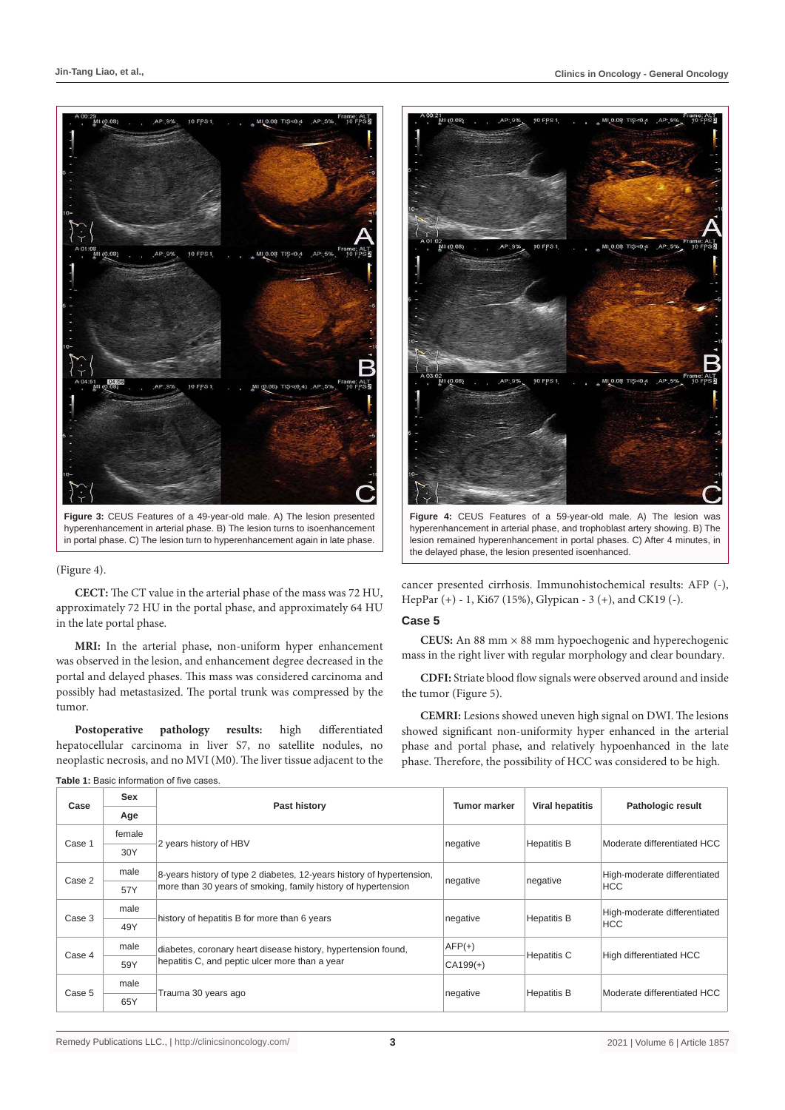

hyperenhancement in arterial phase. B) The lesion turns to isoenhancement in portal phase. C) The lesion turn to hyperenhancement again in late phase.

#### (Figure 4).

**CECT:** The CT value in the arterial phase of the mass was 72 HU, approximately 72 HU in the portal phase, and approximately 64 HU in the late portal phase.

**MRI:** In the arterial phase, non-uniform hyper enhancement was observed in the lesion, and enhancement degree decreased in the portal and delayed phases. This mass was considered carcinoma and possibly had metastasized. The portal trunk was compressed by the tumor.

**Postoperative pathology results:** high differentiated hepatocellular carcinoma in liver S7, no satellite nodules, no neoplastic necrosis, and no MVI (M0). The liver tissue adjacent to the



**Figure 4:** CEUS Features of a 59-year-old male. A) The lesion was hyperenhancement in arterial phase, and trophoblast artery showing. B) The lesion remained hyperenhancement in portal phases. C) After 4 minutes, in the delayed phase, the lesion presented isoenhanced.

cancer presented cirrhosis. Immunohistochemical results: AFP (-), HepPar (+) - 1, Ki67 (15%), Glypican - 3 (+), and CK19 (-).

#### **Case 5**

**CEUS:** An 88 mm × 88 mm hypoechogenic and hyperechogenic mass in the right liver with regular morphology and clear boundary.

**CDFI:** Striate blood flow signals were observed around and inside the tumor (Figure 5).

**CEMRI:** Lesions showed uneven high signal on DWI. The lesions showed significant non-uniformity hyper enhanced in the arterial phase and portal phase, and relatively hypoenhanced in the late phase. Therefore, the possibility of HCC was considered to be high.

| Case   | Sex    | Past history                                                          | Tumor marker | <b>Viral hepatitis</b> | <b>Pathologic result</b>                   |  |  |  |
|--------|--------|-----------------------------------------------------------------------|--------------|------------------------|--------------------------------------------|--|--|--|
|        | Age    |                                                                       |              |                        |                                            |  |  |  |
| Case 1 | female | 2 years history of HBV                                                | negative     | <b>Hepatitis B</b>     | Moderate differentiated HCC                |  |  |  |
|        | 30Y    |                                                                       |              |                        |                                            |  |  |  |
| Case 2 | male   | 8-years history of type 2 diabetes, 12-years history of hypertension, | negative     | negative               | High-moderate differentiated<br><b>HCC</b> |  |  |  |
|        | 57Y    | more than 30 years of smoking, family history of hypertension         |              |                        |                                            |  |  |  |
| Case 3 | male   | history of hepatitis B for more than 6 years                          | negative     | <b>Hepatitis B</b>     | High-moderate differentiated<br><b>HCC</b> |  |  |  |
|        | 49Y    |                                                                       |              |                        |                                            |  |  |  |
| Case 4 | male   | diabetes, coronary heart disease history, hypertension found,         | $AFP(+)$     | Hepatitis C            | High differentiated HCC                    |  |  |  |
|        | 59Y    | hepatitis C, and peptic ulcer more than a year                        | $CA199(+)$   |                        |                                            |  |  |  |
| Case 5 | male   |                                                                       | negative     | <b>Hepatitis B</b>     | Moderate differentiated HCC                |  |  |  |
|        | 65Y    | Trauma 30 years ago                                                   |              |                        |                                            |  |  |  |

**Table 1:** Basic information of five cases.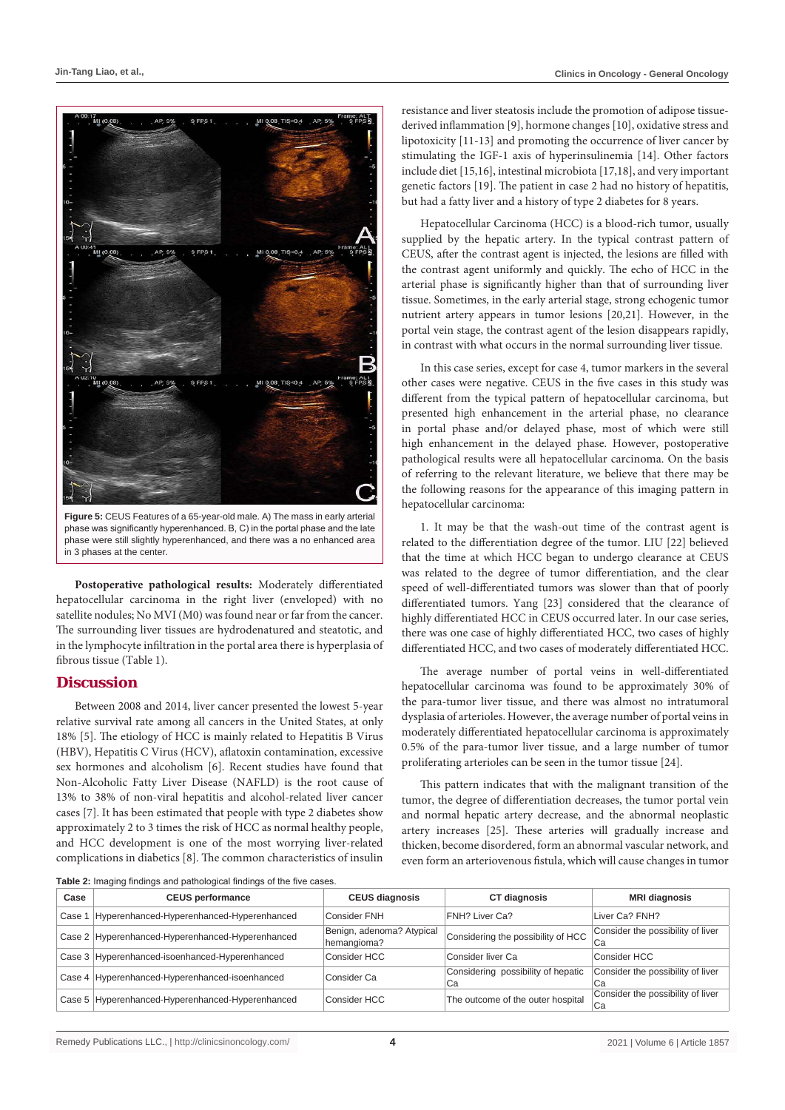

**Figure 5:** CEUS Features of a 65-year-old male. A) The mass in early arterial phase was significantly hyperenhanced. B, C) in the portal phase and the late phase were still slightly hyperenhanced, and there was a no enhanced area in 3 phases at the center.

**Postoperative pathological results:** Moderately differentiated hepatocellular carcinoma in the right liver (enveloped) with no satellite nodules; No MVI (M0) was found near or far from the cancer. The surrounding liver tissues are hydrodenatured and steatotic, and in the lymphocyte infiltration in the portal area there is hyperplasia of fibrous tissue (Table 1).

#### **Discussion**

Between 2008 and 2014, liver cancer presented the lowest 5-year relative survival rate among all cancers in the United States, at only 18% [5]. The etiology of HCC is mainly related to Hepatitis B Virus (HBV), Hepatitis C Virus (HCV), aflatoxin contamination, excessive sex hormones and alcoholism [6]. Recent studies have found that Non-Alcoholic Fatty Liver Disease (NAFLD) is the root cause of 13% to 38% of non-viral hepatitis and alcohol-related liver cancer cases [7]. It has been estimated that people with type 2 diabetes show approximately 2 to 3 times the risk of HCC as normal healthy people, and HCC development is one of the most worrying liver-related complications in diabetics [8]. The common characteristics of insulin

resistance and liver steatosis include the promotion of adipose tissuederived inflammation [9], hormone changes [10], oxidative stress and lipotoxicity [11-13] and promoting the occurrence of liver cancer by stimulating the IGF-1 axis of hyperinsulinemia [14]. Other factors include diet [15,16], intestinal microbiota [17,18], and very important genetic factors [19]. The patient in case 2 had no history of hepatitis, but had a fatty liver and a history of type 2 diabetes for 8 years.

Hepatocellular Carcinoma (HCC) is a blood-rich tumor, usually supplied by the hepatic artery. In the typical contrast pattern of CEUS, after the contrast agent is injected, the lesions are filled with the contrast agent uniformly and quickly. The echo of HCC in the arterial phase is significantly higher than that of surrounding liver tissue. Sometimes, in the early arterial stage, strong echogenic tumor nutrient artery appears in tumor lesions [20,21]. However, in the portal vein stage, the contrast agent of the lesion disappears rapidly, in contrast with what occurs in the normal surrounding liver tissue.

In this case series, except for case 4, tumor markers in the several other cases were negative. CEUS in the five cases in this study was different from the typical pattern of hepatocellular carcinoma, but presented high enhancement in the arterial phase, no clearance in portal phase and/or delayed phase, most of which were still high enhancement in the delayed phase. However, postoperative pathological results were all hepatocellular carcinoma. On the basis of referring to the relevant literature, we believe that there may be the following reasons for the appearance of this imaging pattern in hepatocellular carcinoma:

1. It may be that the wash-out time of the contrast agent is related to the differentiation degree of the tumor. LIU [22] believed that the time at which HCC began to undergo clearance at CEUS was related to the degree of tumor differentiation, and the clear speed of well-differentiated tumors was slower than that of poorly differentiated tumors. Yang [23] considered that the clearance of highly differentiated HCC in CEUS occurred later. In our case series, there was one case of highly differentiated HCC, two cases of highly differentiated HCC, and two cases of moderately differentiated HCC.

The average number of portal veins in well-differentiated hepatocellular carcinoma was found to be approximately 30% of the para-tumor liver tissue, and there was almost no intratumoral dysplasia of arterioles. However, the average number of portal veins in moderately differentiated hepatocellular carcinoma is approximately 0.5% of the para-tumor liver tissue, and a large number of tumor proliferating arterioles can be seen in the tumor tissue [24].

This pattern indicates that with the malignant transition of the tumor, the degree of differentiation decreases, the tumor portal vein and normal hepatic artery decrease, and the abnormal neoplastic artery increases [25]. These arteries will gradually increase and thicken, become disordered, form an abnormal vascular network, and even form an arteriovenous fistula, which will cause changes in tumor

| Table 2: Imaging findings and pathological findings of the five cases. |                                                  |                                          |                                          |                                         |  |  |  |  |
|------------------------------------------------------------------------|--------------------------------------------------|------------------------------------------|------------------------------------------|-----------------------------------------|--|--|--|--|
| Case                                                                   | <b>CEUS performance</b>                          | <b>CEUS diagnosis</b>                    | CT diagnosis                             | <b>MRI diagnosis</b>                    |  |  |  |  |
| Case 1                                                                 | Hyperenhanced-Hyperenhanced-Hyperenhanced        | Consider FNH                             | FNH? Liver Ca?                           | Liver Ca? FNH?                          |  |  |  |  |
|                                                                        | Case 2 Hyperenhanced-Hyperenhanced-Hyperenhanced | Benign, adenoma? Atypical<br>hemangioma? | Considering the possibility of HCC       | Consider the possibility of liver<br>Ca |  |  |  |  |
|                                                                        | Case 3 Hyperenhanced-isoenhanced-Hyperenhanced   | Consider HCC                             | Consider liver Ca                        | Consider HCC                            |  |  |  |  |
|                                                                        | Case 4 Hyperenhanced-Hyperenhanced-isoenhanced   | Consider Ca                              | Considering possibility of hepatic<br>Ca | Consider the possibility of liver<br>Сa |  |  |  |  |
|                                                                        | Case 5 Hyperenhanced-Hyperenhanced-Hyperenhanced | Consider HCC                             | The outcome of the outer hospital        | Consider the possibility of liver<br>Ca |  |  |  |  |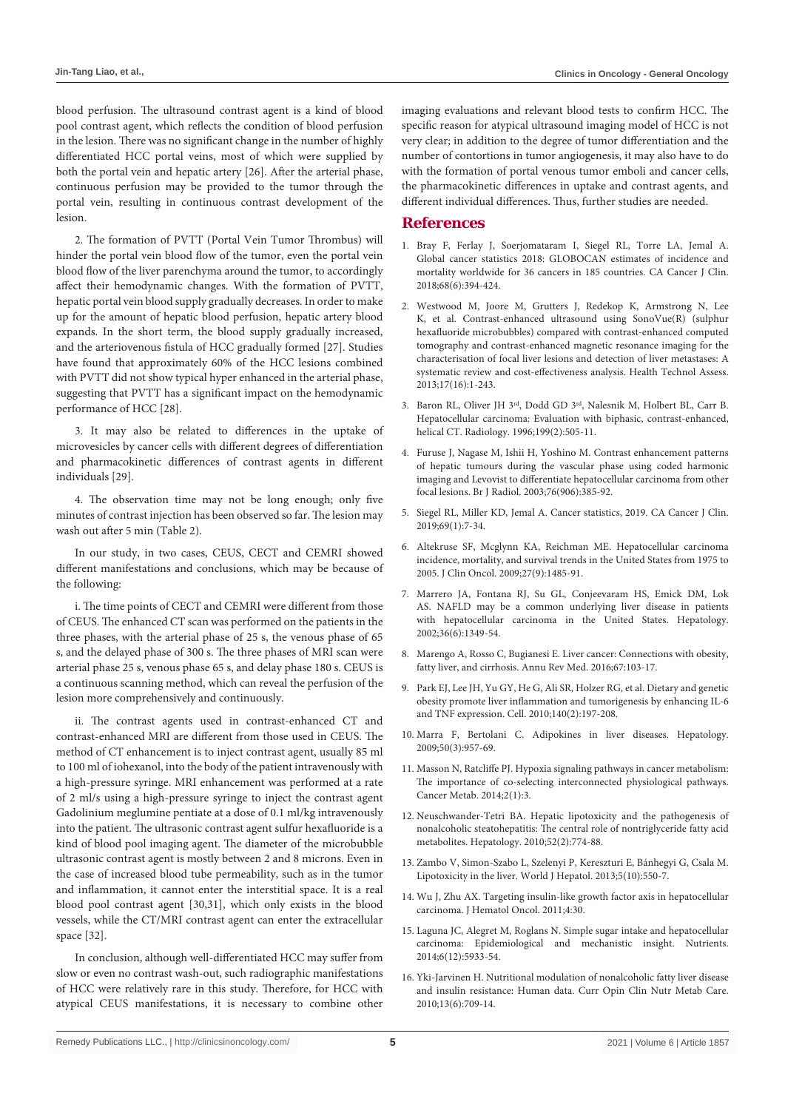blood perfusion. The ultrasound contrast agent is a kind of blood pool contrast agent, which reflects the condition of blood perfusion in the lesion. There was no significant change in the number of highly differentiated HCC portal veins, most of which were supplied by both the portal vein and hepatic artery [26]. After the arterial phase, continuous perfusion may be provided to the tumor through the portal vein, resulting in continuous contrast development of the lesion.

2. The formation of PVTT (Portal Vein Tumor Thrombus) will hinder the portal vein blood flow of the tumor, even the portal vein blood flow of the liver parenchyma around the tumor, to accordingly affect their hemodynamic changes. With the formation of PVTT, hepatic portal vein blood supply gradually decreases. In order to make up for the amount of hepatic blood perfusion, hepatic artery blood expands. In the short term, the blood supply gradually increased, and the arteriovenous fistula of HCC gradually formed [27]. Studies have found that approximately 60% of the HCC lesions combined with PVTT did not show typical hyper enhanced in the arterial phase, suggesting that PVTT has a significant impact on the hemodynamic performance of HCC [28].

3. It may also be related to differences in the uptake of microvesicles by cancer cells with different degrees of differentiation and pharmacokinetic differences of contrast agents in different individuals [29].

4. The observation time may not be long enough; only five minutes of contrast injection has been observed so far. The lesion may wash out after 5 min (Table 2).

In our study, in two cases, CEUS, CECT and CEMRI showed different manifestations and conclusions, which may be because of the following:

i. The time points of CECT and CEMRI were different from those of CEUS. The enhanced CT scan was performed on the patients in the three phases, with the arterial phase of 25 s, the venous phase of 65 s, and the delayed phase of 300 s. The three phases of MRI scan were arterial phase 25 s, venous phase 65 s, and delay phase 180 s. CEUS is a continuous scanning method, which can reveal the perfusion of the lesion more comprehensively and continuously.

ii. The contrast agents used in contrast-enhanced CT and contrast-enhanced MRI are different from those used in CEUS. The method of CT enhancement is to inject contrast agent, usually 85 ml to 100 ml of iohexanol, into the body of the patient intravenously with a high-pressure syringe. MRI enhancement was performed at a rate of 2 ml/s using a high-pressure syringe to inject the contrast agent Gadolinium meglumine pentiate at a dose of 0.1 ml/kg intravenously into the patient. The ultrasonic contrast agent sulfur hexafluoride is a kind of blood pool imaging agent. The diameter of the microbubble ultrasonic contrast agent is mostly between 2 and 8 microns. Even in the case of increased blood tube permeability, such as in the tumor and inflammation, it cannot enter the interstitial space. It is a real blood pool contrast agent [30,31], which only exists in the blood vessels, while the CT/MRI contrast agent can enter the extracellular space [32].

In conclusion, although well-differentiated HCC may suffer from slow or even no contrast wash-out, such radiographic manifestations of HCC were relatively rare in this study. Therefore, for HCC with atypical CEUS manifestations, it is necessary to combine other imaging evaluations and relevant blood tests to confirm HCC. The specific reason for atypical ultrasound imaging model of HCC is not very clear; in addition to the degree of tumor differentiation and the number of contortions in tumor angiogenesis, it may also have to do with the formation of portal venous tumor emboli and cancer cells, the pharmacokinetic differences in uptake and contrast agents, and different individual differences. Thus, further studies are needed.

## **References**

- 1. [Bray F, Ferlay J, Soerjomataram I, Siegel RL, Torre LA, Jemal A.](https://pubmed.ncbi.nlm.nih.gov/30207593/)  [Global cancer statistics 2018: GLOBOCAN estimates of incidence and](https://pubmed.ncbi.nlm.nih.gov/30207593/)  [mortality worldwide for 36 cancers in 185 countries. CA Cancer J Clin.](https://pubmed.ncbi.nlm.nih.gov/30207593/)  [2018;68\(6\):394-424.](https://pubmed.ncbi.nlm.nih.gov/30207593/)
- 2. [Westwood M, Joore M, Grutters J, Redekop K, Armstrong N, Lee](https://pubmed.ncbi.nlm.nih.gov/23611316/)  [K, et al. Contrast-enhanced ultrasound using SonoVue\(R\) \(sulphur](https://pubmed.ncbi.nlm.nih.gov/23611316/)  [hexafluoride microbubbles\) compared with contrast-enhanced computed](https://pubmed.ncbi.nlm.nih.gov/23611316/)  [tomography and contrast-enhanced magnetic resonance imaging for the](https://pubmed.ncbi.nlm.nih.gov/23611316/)  [characterisation of focal liver lesions and detection of liver metastases: A](https://pubmed.ncbi.nlm.nih.gov/23611316/)  [systematic review and cost-effectiveness analysis. Health Technol Assess.](https://pubmed.ncbi.nlm.nih.gov/23611316/)  [2013;17\(16\):1-243.](https://pubmed.ncbi.nlm.nih.gov/23611316/)
- 3. [Baron RL, Oliver JH 3rd, Dodd GD 3rd, Nalesnik M, Holbert BL, Carr B.](https://pubmed.ncbi.nlm.nih.gov/8668803/)  [Hepatocellular carcinoma: Evaluation with biphasic, contrast-enhanced,](https://pubmed.ncbi.nlm.nih.gov/8668803/)  [helical CT. Radiology. 1996;199\(2\):505-11.](https://pubmed.ncbi.nlm.nih.gov/8668803/)
- 4. [Furuse J, Nagase M, Ishii H, Yoshino M. Contrast enhancement patterns](https://pubmed.ncbi.nlm.nih.gov/12814924/)  [of hepatic tumours during the vascular phase using coded harmonic](https://pubmed.ncbi.nlm.nih.gov/12814924/)  [imaging and Levovist to differentiate hepatocellular carcinoma from other](https://pubmed.ncbi.nlm.nih.gov/12814924/)  [focal lesions. Br J Radiol. 2003;76\(906\):385-92.](https://pubmed.ncbi.nlm.nih.gov/12814924/)
- 5. [Siegel RL, Miller KD, Jemal A. Cancer statistics, 2019. CA Cancer J Clin.](https://pubmed.ncbi.nlm.nih.gov/30620402/)  [2019;69\(1\):7-34.](https://pubmed.ncbi.nlm.nih.gov/30620402/)
- 6. [Altekruse SF, Mcglynn KA, Reichman ME. Hepatocellular carcinoma](https://pubmed.ncbi.nlm.nih.gov/19224838/)  [incidence, mortality, and survival trends in the United States from 1975 to](https://pubmed.ncbi.nlm.nih.gov/19224838/)  [2005. J Clin Oncol. 2009;27\(9\):1485-91.](https://pubmed.ncbi.nlm.nih.gov/19224838/)
- 7. [Marrero JA, Fontana RJ, Su GL, Conjeevaram HS, Emick DM, Lok](https://pubmed.ncbi.nlm.nih.gov/12447858/)  [AS. NAFLD may be a common underlying liver disease in patients](https://pubmed.ncbi.nlm.nih.gov/12447858/)  [with hepatocellular carcinoma in the United States. Hepatology.](https://pubmed.ncbi.nlm.nih.gov/12447858/)  [2002;36\(6\):1349-54.](https://pubmed.ncbi.nlm.nih.gov/12447858/)
- 8. [Marengo A, Rosso C, Bugianesi E. Liver cancer: Connections with obesity,](https://pubmed.ncbi.nlm.nih.gov/26473416/)  [fatty liver, and cirrhosis. Annu Rev Med. 2016;67:103-17.](https://pubmed.ncbi.nlm.nih.gov/26473416/)
- 9. [Park EJ, Lee JH, Yu GY, He G, Ali SR, Holzer RG, et al. Dietary and genetic](https://pubmed.ncbi.nlm.nih.gov/20141834/)  [obesity promote liver inflammation and tumorigenesis by enhancing IL-6](https://pubmed.ncbi.nlm.nih.gov/20141834/)  [and TNF expression. Cell. 2010;140\(2\):197-208.](https://pubmed.ncbi.nlm.nih.gov/20141834/)
- 10. [Marra F, Bertolani C. Adipokines in liver diseases. Hepatology.](https://pubmed.ncbi.nlm.nih.gov/19585655/)  [2009;50\(3\):957-69.](https://pubmed.ncbi.nlm.nih.gov/19585655/)
- 11. [Masson N, Ratcliffe PJ. Hypoxia signaling pathways in cancer metabolism:](https://pubmed.ncbi.nlm.nih.gov/24491179/)  [The importance of co-selecting interconnected physiological pathways.](https://pubmed.ncbi.nlm.nih.gov/24491179/)  [Cancer Metab. 2014;2\(1\):3.](https://pubmed.ncbi.nlm.nih.gov/24491179/)
- 12. [Neuschwander-Tetri BA. Hepatic lipotoxicity and the pathogenesis of](https://pubmed.ncbi.nlm.nih.gov/20683968/)  [nonalcoholic steatohepatitis: The central role of nontriglyceride fatty acid](https://pubmed.ncbi.nlm.nih.gov/20683968/)  [metabolites. Hepatology. 2010;52\(2\):774-88.](https://pubmed.ncbi.nlm.nih.gov/20683968/)
- 13. Zambo V, Simon-Szabo L, Szelenyi P, Kereszturi E, Bánhegyi G, Csala M. Lipotoxicity in the liver. World J Hepatol. 2013;5(10):550-7.
- 14. [Wu J, Zhu AX. Targeting insulin-like growth factor axis in hepatocellular](https://pubmed.ncbi.nlm.nih.gov/21729319/)  [carcinoma. J Hematol Oncol. 2011;4:30.](https://pubmed.ncbi.nlm.nih.gov/21729319/)
- 15. [Laguna JC, Alegret M, Roglans N. Simple sugar intake and hepatocellular](https://pubmed.ncbi.nlm.nih.gov/25533006/)  [carcinoma: Epidemiological and mechanistic insight. Nutrients.](https://pubmed.ncbi.nlm.nih.gov/25533006/)  [2014;6\(12\):5933-54.](https://pubmed.ncbi.nlm.nih.gov/25533006/)
- 16. [Yki-Jarvinen H. Nutritional modulation of nonalcoholic fatty liver disease](https://pubmed.ncbi.nlm.nih.gov/20842026/)  [and insulin resistance: Human data. Curr Opin Clin Nutr Metab Care.](https://pubmed.ncbi.nlm.nih.gov/20842026/)  [2010;13\(6\):709-14.](https://pubmed.ncbi.nlm.nih.gov/20842026/)